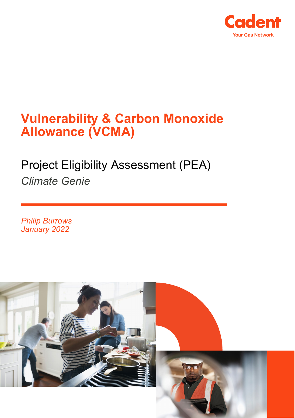

## **Vulnerability & Carbon Monoxide Allowance (VCMA)**

# Project Eligibility Assessment (PEA) *Climate Genie*

*Philip Burrows January 2022*

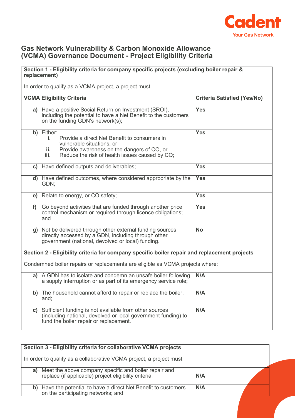

## **Gas Network Vulnerability & Carbon Monoxide Allowance (VCMA) Governance Document - Project Eligibility Criteria**

#### **Section 1 - Eligibility criteria for company specific projects (excluding boiler repair & replacement)**

In order to qualify as a VCMA project, a project must:

|    | <b>VCMA Eligibility Criteria</b>                                                                                                                                                                             | <b>Criteria Satisfied (Yes/No)</b> |
|----|--------------------------------------------------------------------------------------------------------------------------------------------------------------------------------------------------------------|------------------------------------|
|    | a) Have a positive Social Return on Investment (SROI),<br>including the potential to have a Net Benefit to the customers<br>on the funding GDN's network(s);                                                 | <b>Yes</b>                         |
|    | b) Either:<br>i.<br>Provide a direct Net Benefit to consumers in<br>vulnerable situations, or<br>Provide awareness on the dangers of CO, or<br>ii.<br>Reduce the risk of health issues caused by CO;<br>iii. | <b>Yes</b>                         |
|    | c) Have defined outputs and deliverables;                                                                                                                                                                    | <b>Yes</b>                         |
|    | d) Have defined outcomes, where considered appropriate by the<br>GDN;                                                                                                                                        | <b>Yes</b>                         |
| e) | Relate to energy, or CO safety;                                                                                                                                                                              | <b>Yes</b>                         |
| f  | Go beyond activities that are funded through another price<br>control mechanism or required through licence obligations;<br>and                                                                              | <b>Yes</b>                         |
|    | g) Not be delivered through other external funding sources<br>directly accessed by a GDN, including through other<br>government (national, devolved or local) funding.                                       | $\overline{No}$                    |
|    | Section 2 - Eligibility criteria for company specific boiler repair and replacement projects                                                                                                                 |                                    |
|    | Condemned boiler repairs or replacements are eligible as VCMA projects where:                                                                                                                                |                                    |
|    | a) A GDN has to isolate and condemn an unsafe boiler following<br>a supply interruption or as part of its emergency service role;                                                                            | N/A                                |
|    | b) The household cannot afford to repair or replace the boiler,<br>and:                                                                                                                                      | N/A                                |
|    | c) Sufficient funding is not available from other sources<br>(including national, devolved or local government funding) to<br>fund the boiler repair or replacement.                                         | N/A                                |

| Section 3 - Eligibility criteria for collaborative VCMA projects     |                                                                                                                |     |  |
|----------------------------------------------------------------------|----------------------------------------------------------------------------------------------------------------|-----|--|
| In order to qualify as a collaborative VCMA project, a project must: |                                                                                                                |     |  |
| a)                                                                   | Meet the above company specific and boiler repair and<br>replace (if applicable) project eligibility criteria; | N/A |  |
|                                                                      | b) Have the potential to have a direct Net Benefit to customers<br>on the participating networks; and          | N/A |  |
|                                                                      |                                                                                                                |     |  |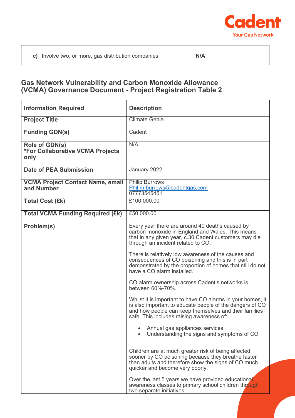

| Involve two, or more, gas distribution companies. |  |
|---------------------------------------------------|--|

## **Gas Network Vulnerability and Carbon Monoxide Allowance (VCMA) Governance Document - Project Registration Table 2**

| <b>Information Required</b>                                       | <b>Description</b>                                                                                                                                                                                                           |
|-------------------------------------------------------------------|------------------------------------------------------------------------------------------------------------------------------------------------------------------------------------------------------------------------------|
| <b>Project Title</b>                                              | <b>Climate Genie</b>                                                                                                                                                                                                         |
| <b>Funding GDN(s)</b>                                             | Cadent                                                                                                                                                                                                                       |
| Role of GDN(s)<br><b>*For Collaborative VCMA Projects</b><br>only | N/A                                                                                                                                                                                                                          |
| <b>Date of PEA Submission</b>                                     | January 2022                                                                                                                                                                                                                 |
| <b>VCMA Project Contact Name, email</b><br>and Number             | <b>Philip Burrows</b><br>Phil.m.burrows@cadentgas.com<br>07773545451                                                                                                                                                         |
| <b>Total Cost (£k)</b>                                            | £100,000.00                                                                                                                                                                                                                  |
| <b>Total VCMA Funding Required (£k)</b>                           | £50,000.00                                                                                                                                                                                                                   |
| Problem(s)                                                        | Every year there are around 40 deaths caused by<br>carbon monoxide in England and Wales. This means<br>that in any given year, c.30 Cadent customers may die<br>through an incident related to CO.                           |
|                                                                   | There is relatively low awareness of the causes and<br>consequences of CO poisoning and this is in part<br>demonstrated by the proportion of homes that still do not<br>have a CO alarm installed.                           |
|                                                                   | CO alarm ownership across Cadent's networks is<br>between 60%-70%.                                                                                                                                                           |
|                                                                   | Whilst it is important to have CO alarms in your homes, it<br>is also important to educate people of the dangers of CO<br>and how people can keep themselves and their families<br>safe. This includes raising awareness of: |
|                                                                   | Annual gas appliances services<br>Understanding the signs and symptoms of CO                                                                                                                                                 |
|                                                                   | Children are at much greater risk of being affected<br>sooner by CO poisoning because they breathe faster<br>than adults and therefore show the signs of CO much<br>quicker and become very poorly.                          |
|                                                                   | Over the last 5 years we have provided educational<br>awareness classes to primary school children through<br>two separate initiatives:                                                                                      |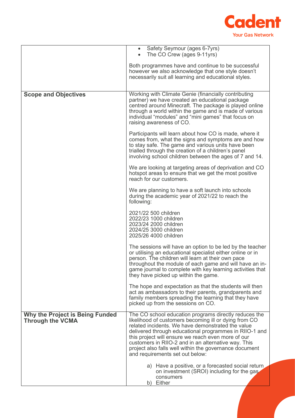

|                                                                   | Safety Seymour (ages 6-7yrs)<br>$\bullet$<br>The CO Crew (ages 9-11yrs)                                                                                                                                                                                                                                                                                                                                                                 |
|-------------------------------------------------------------------|-----------------------------------------------------------------------------------------------------------------------------------------------------------------------------------------------------------------------------------------------------------------------------------------------------------------------------------------------------------------------------------------------------------------------------------------|
|                                                                   | Both programmes have and continue to be successful<br>however we also acknowledge that one style doesn't<br>necessarily suit all learning and educational styles.                                                                                                                                                                                                                                                                       |
| <b>Scope and Objectives</b>                                       | Working with Climate Genie (financially contributing<br>partner) we have created an educational package<br>centred around Minecraft. The package is played online<br>through a world within the game and is made of various<br>individual "modules" and "mini games" that focus on<br>raising awareness of CO.                                                                                                                          |
|                                                                   | Participants will learn about how CO is made, where it<br>comes from, what the signs and symptoms are and how<br>to stay safe. The game and various units have been<br>trialled through the creation of a children's panel<br>involving school children between the ages of 7 and 14.                                                                                                                                                   |
|                                                                   | We are looking at targeting areas of deprivation and CO<br>hotspot areas to ensure that we get the most positive<br>reach for our customers.                                                                                                                                                                                                                                                                                            |
|                                                                   | We are planning to have a soft launch into schools<br>during the academic year of 2021/22 to reach the<br>following:                                                                                                                                                                                                                                                                                                                    |
|                                                                   | 2021/22 500 children<br>2022/23 1000 children<br>2023/24 2000 children<br>2024/25 3000 children<br>2025/26 4000 children                                                                                                                                                                                                                                                                                                                |
|                                                                   | The sessions will have an option to be led by the teacher<br>or utilising an educational specialist either online or in<br>person. The children will learn at their own pace<br>throughout the module of each game and will have an in-<br>game journal to complete with key learning activities that<br>they have picked up within the game.                                                                                           |
|                                                                   | The hope and expectation as that the students will then<br>act as ambassadors to their parents, grandparents and<br>family members spreading the learning that they have<br>picked up from the sessions on CO.                                                                                                                                                                                                                          |
| <b>Why the Project is Being Funded</b><br><b>Through the VCMA</b> | The CO school education programs directly reduces the<br>likelihood of customers becoming ill or dying from CO<br>related incidents. We have demonstrated the value<br>delivered through educational programmes in RIIO-1 and<br>this project will ensure we reach even more of our<br>customers in RIIO-2 and in an alternative way. This<br>project also falls well within the governance document<br>and requirements set out below: |
|                                                                   | a) Have a positive, or a forecasted social return<br>on investment (SROI) including for the gas<br>consumers<br>b) Either                                                                                                                                                                                                                                                                                                               |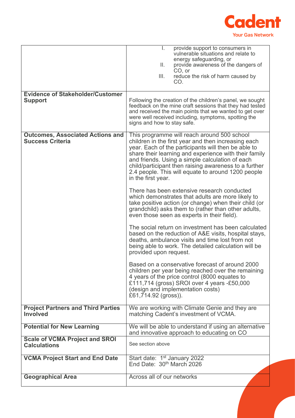

|                                                                    | provide support to consumers in<br>ı.<br>vulnerable situations and relate to<br>energy safeguarding, or<br>Ш.<br>provide awareness of the dangers of<br>CO, or<br>reduce the risk of harm caused by<br>III.<br>CO.                                                                                                                                                                                         |
|--------------------------------------------------------------------|------------------------------------------------------------------------------------------------------------------------------------------------------------------------------------------------------------------------------------------------------------------------------------------------------------------------------------------------------------------------------------------------------------|
| <b>Evidence of Stakeholder/Customer</b>                            |                                                                                                                                                                                                                                                                                                                                                                                                            |
| <b>Support</b>                                                     | Following the creation of the children's panel, we sought<br>feedback on the mine craft sessions that they had tested<br>and received the main points that we wanted to get over<br>were well received including, symptoms, spotting the<br>signs and how to stay safe.                                                                                                                                    |
| <b>Outcomes, Associated Actions and</b><br><b>Success Criteria</b> | This programme will reach around 500 school<br>children in the first year and then increasing each<br>year. Each of the participants will then be able to<br>share their learning and experience with their family<br>and friends. Using a simple calculation of each<br>child/participant then raising awareness to a further<br>2.4 people. This will equate to around 1200 people<br>in the first year. |
|                                                                    | There has been extensive research conducted<br>which demonstrates that adults are more likely to<br>take positive action (or change) when their child (or<br>grandchild) asks them to (rather than other adults,<br>even those seen as experts in their field).                                                                                                                                            |
|                                                                    | The social return on investment has been calculated<br>based on the reduction of A&E visits, hospital stays,<br>deaths, ambulance visits and time lost from not<br>being able to work. The detailed calculation will be<br>provided upon request.                                                                                                                                                          |
|                                                                    | Based on a conservative forecast of around 2000<br>children per year being reached over the remaining<br>4 years of the price control (8000 equates to<br>£111,714 (gross) SROI over 4 years -£50,000<br>(design and implementation costs)<br>£61,714.92 (gross)).                                                                                                                                         |
| <b>Project Partners and Third Parties</b><br><b>Involved</b>       | We are working with Climate Genie and they are<br>matching Cadent's investment of VCMA.                                                                                                                                                                                                                                                                                                                    |
| <b>Potential for New Learning</b>                                  | We will be able to understand if using an alternative<br>and innovative approach to educating on CO                                                                                                                                                                                                                                                                                                        |
| <b>Scale of VCMA Project and SROI</b><br><b>Calculations</b>       | See section above                                                                                                                                                                                                                                                                                                                                                                                          |
| <b>VCMA Project Start and End Date</b>                             | Start date: 1 <sup>st</sup> January 2022<br>End Date: 30 <sup>th</sup> March 2026                                                                                                                                                                                                                                                                                                                          |
| <b>Geographical Area</b>                                           | Across all of our networks                                                                                                                                                                                                                                                                                                                                                                                 |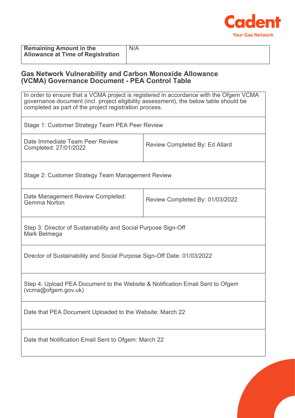

| <b>Remaining Amount in the</b>           | N/A |
|------------------------------------------|-----|
| <b>Allowance at Time of Registration</b> |     |

## **Gas Network Vulnerability and Carbon Monoxide Allowance (VCMA) Governance Document - PEA Control Table**

| In order to ensure that a VCMA project is registered in accordance with the Ofgem VCMA<br>governance document (incl. project eligibility assessment), the below table should be<br>completed as part of the project registration process. |                                       |  |
|-------------------------------------------------------------------------------------------------------------------------------------------------------------------------------------------------------------------------------------------|---------------------------------------|--|
| Stage 1: Customer Strategy Team PEA Peer Review                                                                                                                                                                                           |                                       |  |
| Date Immediate Team Peer Review<br>Completed: 27/01/2022                                                                                                                                                                                  | <b>Review Completed By: Ed Allard</b> |  |
| Stage 2: Customer Strategy Team Management Review                                                                                                                                                                                         |                                       |  |
| Date Management Review Completed:<br><b>Gemma Norton</b>                                                                                                                                                                                  | Review Completed By: 01/03/2022       |  |
| Step 3: Director of Sustainability and Social Purpose Sign-Off<br>Mark Belmega                                                                                                                                                            |                                       |  |
| Director of Sustainability and Social Purpose Sign-Off Date: 01/03/2022                                                                                                                                                                   |                                       |  |
| Step 4: Upload PEA Document to the Website & Notification Email Sent to Ofgem<br>(vcma@ofgem.gov.uk)                                                                                                                                      |                                       |  |
| Date that PEA Document Uploaded to the Website: March 22                                                                                                                                                                                  |                                       |  |
| Date that Notification Email Sent to Ofgem: March 22                                                                                                                                                                                      |                                       |  |